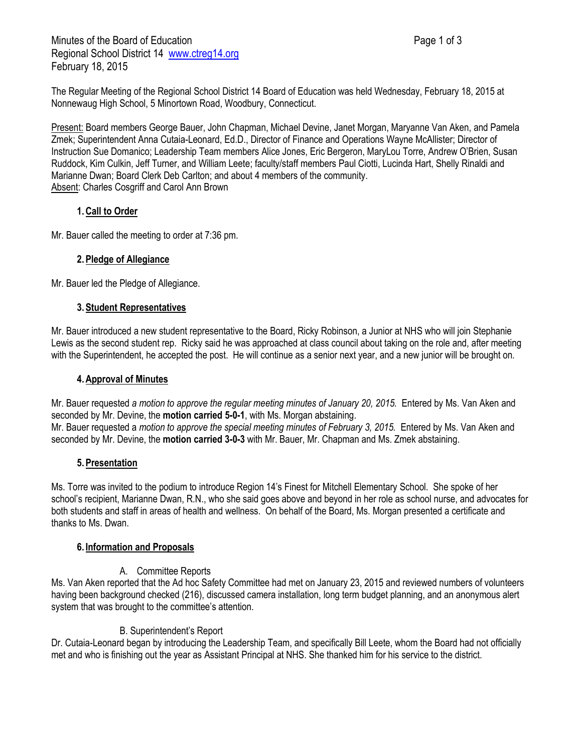The Regular Meeting of the Regional School District 14 Board of Education was held Wednesday, February 18, 2015 at Nonnewaug High School, 5 Minortown Road, Woodbury, Connecticut.

Present: Board members George Bauer, John Chapman, Michael Devine, Janet Morgan, Maryanne Van Aken, and Pamela Zmek; Superintendent Anna Cutaia-Leonard, Ed.D., Director of Finance and Operations Wayne McAllister; Director of Instruction Sue Domanico; Leadership Team members Alice Jones, Eric Bergeron, MaryLou Torre, Andrew O'Brien, Susan Ruddock, Kim Culkin, Jeff Turner, and William Leete; faculty/staff members Paul Ciotti, Lucinda Hart, Shelly Rinaldi and Marianne Dwan; Board Clerk Deb Carlton; and about 4 members of the community. Absent: Charles Cosgriff and Carol Ann Brown

## **1.Call to Order**

Mr. Bauer called the meeting to order at 7:36 pm.

## **2.Pledge of Allegiance**

Mr. Bauer led the Pledge of Allegiance.

## **3.Student Representatives**

Mr. Bauer introduced a new student representative to the Board, Ricky Robinson, a Junior at NHS who will join Stephanie Lewis as the second student rep. Ricky said he was approached at class council about taking on the role and, after meeting with the Superintendent, he accepted the post. He will continue as a senior next year, and a new junior will be brought on.

## **4.Approval of Minutes**

Mr. Bauer requested *a motion to approve the regular meeting minutes of January 20, 2015.* Entered by Ms. Van Aken and seconded by Mr. Devine, the **motion carried 5-0-1**, with Ms. Morgan abstaining. Mr. Bauer requested a *motion to approve the special meeting minutes of February 3, 2015.* Entered by Ms. Van Aken and seconded by Mr. Devine, the **motion carried 3-0-3** with Mr. Bauer, Mr. Chapman and Ms. Zmek abstaining.

## **5.Presentation**

Ms. Torre was invited to the podium to introduce Region 14's Finest for Mitchell Elementary School. She spoke of her school's recipient, Marianne Dwan, R.N., who she said goes above and beyond in her role as school nurse, and advocates for both students and staff in areas of health and wellness. On behalf of the Board, Ms. Morgan presented a certificate and thanks to Ms. Dwan.

## **6. Information and Proposals**

# A. Committee Reports

Ms. Van Aken reported that the Ad hoc Safety Committee had met on January 23, 2015 and reviewed numbers of volunteers having been background checked (216), discussed camera installation, long term budget planning, and an anonymous alert system that was brought to the committee's attention.

# B. Superintendent's Report

Dr. Cutaia-Leonard began by introducing the Leadership Team, and specifically Bill Leete, whom the Board had not officially met and who is finishing out the year as Assistant Principal at NHS. She thanked him for his service to the district.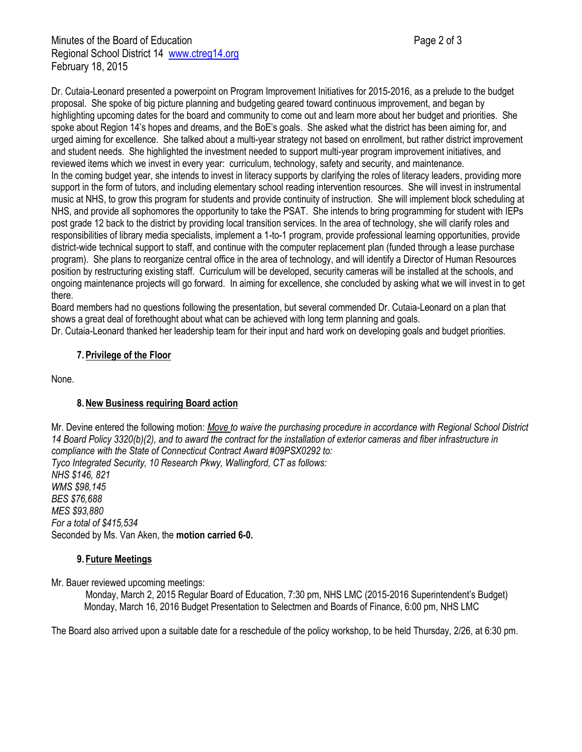Dr. Cutaia-Leonard presented a powerpoint on Program Improvement Initiatives for 2015-2016, as a prelude to the budget proposal. She spoke of big picture planning and budgeting geared toward continuous improvement, and began by highlighting upcoming dates for the board and community to come out and learn more about her budget and priorities. She spoke about Region 14's hopes and dreams, and the BoE's goals. She asked what the district has been aiming for, and urged aiming for excellence. She talked about a multi-year strategy not based on enrollment, but rather district improvement and student needs. She highlighted the investment needed to support multi-year program improvement initiatives, and reviewed items which we invest in every year: curriculum, technology, safety and security, and maintenance. In the coming budget year, she intends to invest in literacy supports by clarifying the roles of literacy leaders, providing more support in the form of tutors, and including elementary school reading intervention resources. She will invest in instrumental music at NHS, to grow this program for students and provide continuity of instruction. She will implement block scheduling at NHS, and provide all sophomores the opportunity to take the PSAT. She intends to bring programming for student with IEPs post grade 12 back to the district by providing local transition services. In the area of technology, she will clarify roles and responsibilities of library media specialists, implement a 1-to-1 program, provide professional learning opportunities, provide district-wide technical support to staff, and continue with the computer replacement plan (funded through a lease purchase program). She plans to reorganize central office in the area of technology, and will identify a Director of Human Resources position by restructuring existing staff. Curriculum will be developed, security cameras will be installed at the schools, and ongoing maintenance projects will go forward. In aiming for excellence, she concluded by asking what we will invest in to get there.

Board members had no questions following the presentation, but several commended Dr. Cutaia-Leonard on a plan that shows a great deal of forethought about what can be achieved with long term planning and goals.

Dr. Cutaia-Leonard thanked her leadership team for their input and hard work on developing goals and budget priorities.

### **7.Privilege of the Floor**

None.

### **8.New Business requiring Board action**

Mr. Devine entered the following motion: *Move to waive the purchasing procedure in accordance with Regional School District 14 Board Policy 3320(b)(2), and to award the contract for the installation of exterior cameras and fiber infrastructure in compliance with the State of Connecticut Contract Award #09PSX0292 to: Tyco Integrated Security, 10 Research Pkwy, Wallingford, CT as follows: NHS \$146, 821 WMS \$98,145 BES \$76,688 MES \$93,880 For a total of \$415,534* Seconded by Ms. Van Aken, the **motion carried 6-0.**

#### **9. Future Meetings**

Mr. Bauer reviewed upcoming meetings:

Monday, March 2, 2015 Regular Board of Education, 7:30 pm, NHS LMC (2015-2016 Superintendent's Budget) Monday, March 16, 2016 Budget Presentation to Selectmen and Boards of Finance, 6:00 pm, NHS LMC

The Board also arrived upon a suitable date for a reschedule of the policy workshop, to be held Thursday, 2/26, at 6:30 pm.